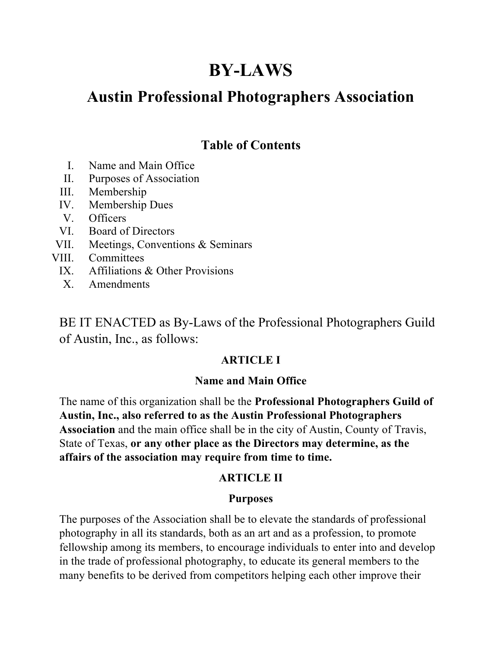# **BY-LAWS**

## **Austin Professional Photographers Association**

## **Table of Contents**

- I. Name and Main Office
- II. Purposes of Association
- III. Membership
- IV. Membership Dues
- V. Officers
- VI. Board of Directors
- VII. Meetings, Conventions & Seminars
- VIII. Committees
	- IX. Affiliations & Other Provisions
	- X. Amendments

BE IT ENACTED as By-Laws of the Professional Photographers Guild of Austin, Inc., as follows:

#### **ARTICLE I**

#### **Name and Main Office**

The name of this organization shall be the **Professional Photographers Guild of Austin, Inc., also referred to as the Austin Professional Photographers Association** and the main office shall be in the city of Austin, County of Travis, State of Texas, **or any other place as the Directors may determine, as the affairs of the association may require from time to time.**

#### **ARTICLE II**

#### **Purposes**

The purposes of the Association shall be to elevate the standards of professional photography in all its standards, both as an art and as a profession, to promote fellowship among its members, to encourage individuals to enter into and develop in the trade of professional photography, to educate its general members to the many benefits to be derived from competitors helping each other improve their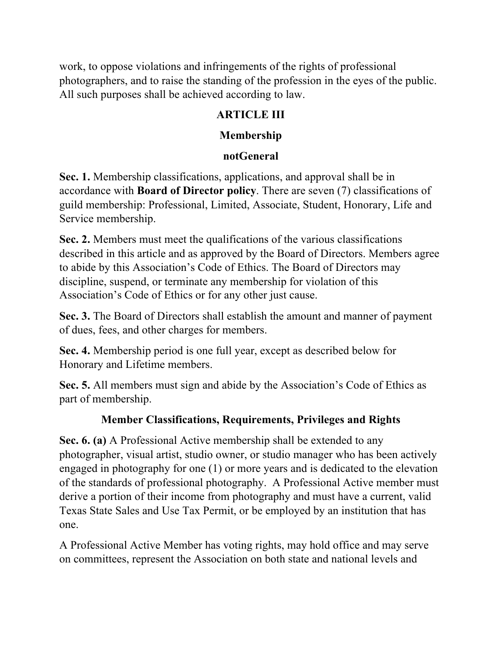work, to oppose violations and infringements of the rights of professional photographers, and to raise the standing of the profession in the eyes of the public. All such purposes shall be achieved according to law.

### **ARTICLE III**

### **Membership**

## **notGeneral**

**Sec. 1.** Membership classifications, applications, and approval shall be in accordance with **Board of Director policy**. There are seven (7) classifications of guild membership: Professional, Limited, Associate, Student, Honorary, Life and Service membership.

**Sec. 2.** Members must meet the qualifications of the various classifications described in this article and as approved by the Board of Directors. Members agree to abide by this Association's Code of Ethics. The Board of Directors may discipline, suspend, or terminate any membership for violation of this Association's Code of Ethics or for any other just cause.

**Sec. 3.** The Board of Directors shall establish the amount and manner of payment of dues, fees, and other charges for members.

**Sec. 4.** Membership period is one full year, except as described below for Honorary and Lifetime members.

**Sec. 5.** All members must sign and abide by the Association's Code of Ethics as part of membership.

## **Member Classifications, Requirements, Privileges and Rights**

**Sec. 6. (a)** A Professional Active membership shall be extended to any photographer, visual artist, studio owner, or studio manager who has been actively engaged in photography for one (1) or more years and is dedicated to the elevation of the standards of professional photography. A Professional Active member must derive a portion of their income from photography and must have a current, valid Texas State Sales and Use Tax Permit, or be employed by an institution that has one.

A Professional Active Member has voting rights, may hold office and may serve on committees, represent the Association on both state and national levels and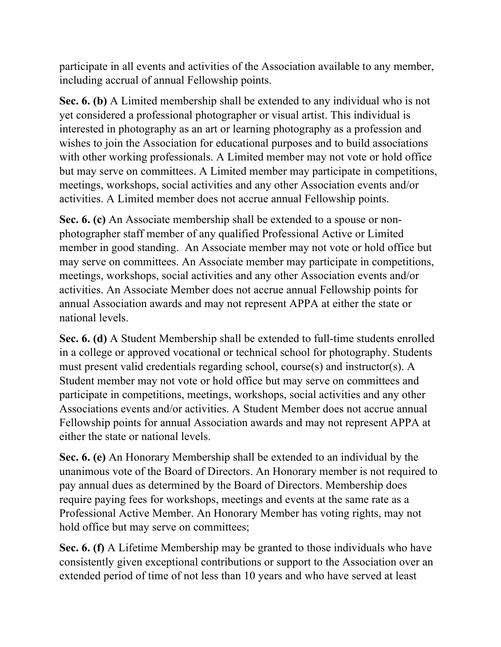participate in all events and activities of the Association available to any member, including accrual of annual Fellowship points.

**Sec. 6. (b)** A Limited membership shall be extended to any individual who is not yet considered a professional photographer or visual artist. This individual is interested in photography as an art or learning photography as a profession and wishes to join the Association for educational purposes and to build associations with other working professionals. A Limited member may not vote or hold office but may serve on committees. A Limited member may participate in competitions, meetings, workshops, social activities and any other Association events and/or activities. A Limited member does not accrue annual Fellowship points.

**Sec. 6. (c)** An Associate membership shall be extended to a spouse or nonphotographer staff member of any qualified Professional Active or Limited member in good standing. An Associate member may not vote or hold office but may serve on committees. An Associate member may participate in competitions, meetings, workshops, social activities and any other Association events and/or activities. An Associate Member does not accrue annual Fellowship points for annual Association awards and may not represent APPA at either the state or national levels.

**Sec. 6. (d)** A Student Membership shall be extended to full-time students enrolled in a college or approved vocational or technical school for photography. Students must present valid credentials regarding school, course(s) and instructor(s). A Student member may not vote or hold office but may serve on committees and participate in competitions, meetings, workshops, social activities and any other Associations events and/or activities. A Student Member does not accrue annual Fellowship points for annual Association awards and may not represent APPA at either the state or national levels.

**Sec. 6. (e)** An Honorary Membership shall be extended to an individual by the unanimous vote of the Board of Directors. An Honorary member is not required to pay annual dues as determined by the Board of Directors. Membership does require paying fees for workshops, meetings and events at the same rate as a Professional Active Member. An Honorary Member has voting rights, may not hold office but may serve on committees;

**Sec. 6. (f)** A Lifetime Membership may be granted to those individuals who have consistently given exceptional contributions or support to the Association over an extended period of time of not less than 10 years and who have served at least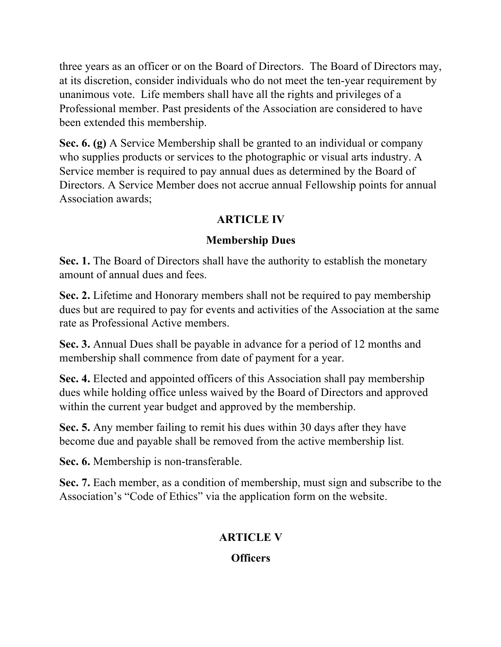three years as an officer or on the Board of Directors. The Board of Directors may, at its discretion, consider individuals who do not meet the ten-year requirement by unanimous vote. Life members shall have all the rights and privileges of a Professional member. Past presidents of the Association are considered to have been extended this membership.

**Sec. 6. (g)** A Service Membership shall be granted to an individual or company who supplies products or services to the photographic or visual arts industry. A Service member is required to pay annual dues as determined by the Board of Directors. A Service Member does not accrue annual Fellowship points for annual Association awards;

## **ARTICLE IV**

## **Membership Dues**

**Sec. 1.** The Board of Directors shall have the authority to establish the monetary amount of annual dues and fees.

**Sec. 2.** Lifetime and Honorary members shall not be required to pay membership dues but are required to pay for events and activities of the Association at the same rate as Professional Active members.

**Sec. 3.** Annual Dues shall be payable in advance for a period of 12 months and membership shall commence from date of payment for a year.

**Sec. 4.** Elected and appointed officers of this Association shall pay membership dues while holding office unless waived by the Board of Directors and approved within the current year budget and approved by the membership.

**Sec. 5.** Any member failing to remit his dues within 30 days after they have become due and payable shall be removed from the active membership list*.*

**Sec. 6.** Membership is non-transferable.

**Sec. 7.** Each member, as a condition of membership, must sign and subscribe to the Association's "Code of Ethics" via the application form on the website.

## **ARTICLE V**

#### **Officers**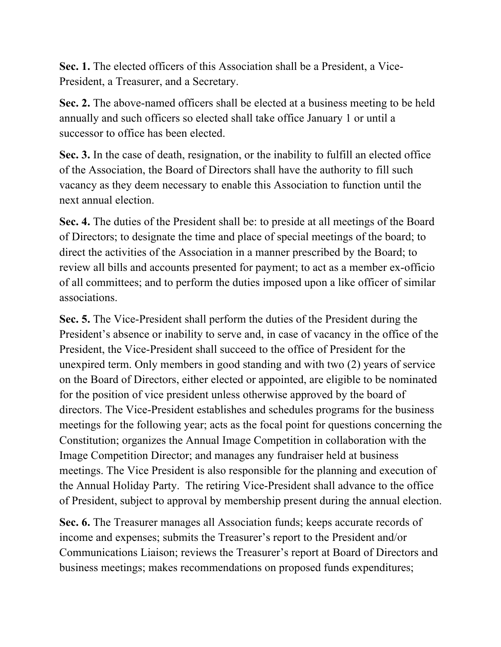**Sec. 1.** The elected officers of this Association shall be a President, a Vice-President, a Treasurer, and a Secretary.

**Sec. 2.** The above-named officers shall be elected at a business meeting to be held annually and such officers so elected shall take office January 1 or until a successor to office has been elected.

**Sec. 3.** In the case of death, resignation, or the inability to fulfill an elected office of the Association, the Board of Directors shall have the authority to fill such vacancy as they deem necessary to enable this Association to function until the next annual election.

**Sec. 4.** The duties of the President shall be: to preside at all meetings of the Board of Directors; to designate the time and place of special meetings of the board; to direct the activities of the Association in a manner prescribed by the Board; to review all bills and accounts presented for payment; to act as a member ex-officio of all committees; and to perform the duties imposed upon a like officer of similar associations.

**Sec. 5.** The Vice-President shall perform the duties of the President during the President's absence or inability to serve and, in case of vacancy in the office of the President, the Vice-President shall succeed to the office of President for the unexpired term. Only members in good standing and with two (2) years of service on the Board of Directors, either elected or appointed, are eligible to be nominated for the position of vice president unless otherwise approved by the board of directors. The Vice-President establishes and schedules programs for the business meetings for the following year; acts as the focal point for questions concerning the Constitution; organizes the Annual Image Competition in collaboration with the Image Competition Director; and manages any fundraiser held at business meetings. The Vice President is also responsible for the planning and execution of the Annual Holiday Party. The retiring Vice-President shall advance to the office of President, subject to approval by membership present during the annual election.

**Sec. 6.** The Treasurer manages all Association funds; keeps accurate records of income and expenses; submits the Treasurer's report to the President and/or Communications Liaison; reviews the Treasurer's report at Board of Directors and business meetings; makes recommendations on proposed funds expenditures;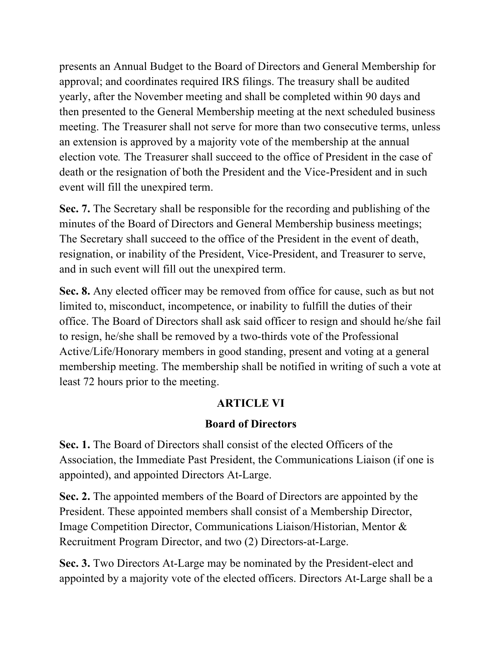presents an Annual Budget to the Board of Directors and General Membership for approval; and coordinates required IRS filings. The treasury shall be audited yearly, after the November meeting and shall be completed within 90 days and then presented to the General Membership meeting at the next scheduled business meeting. The Treasurer shall not serve for more than two consecutive terms, unless an extension is approved by a majority vote of the membership at the annual election vote*.* The Treasurer shall succeed to the office of President in the case of death or the resignation of both the President and the Vice-President and in such event will fill the unexpired term.

**Sec. 7.** The Secretary shall be responsible for the recording and publishing of the minutes of the Board of Directors and General Membership business meetings; The Secretary shall succeed to the office of the President in the event of death, resignation, or inability of the President, Vice-President, and Treasurer to serve, and in such event will fill out the unexpired term.

**Sec. 8.** Any elected officer may be removed from office for cause, such as but not limited to, misconduct, incompetence, or inability to fulfill the duties of their office. The Board of Directors shall ask said officer to resign and should he/she fail to resign, he/she shall be removed by a two-thirds vote of the Professional Active/Life/Honorary members in good standing, present and voting at a general membership meeting. The membership shall be notified in writing of such a vote at least 72 hours prior to the meeting.

#### **ARTICLE VI**

#### **Board of Directors**

**Sec. 1.** The Board of Directors shall consist of the elected Officers of the Association, the Immediate Past President, the Communications Liaison (if one is appointed), and appointed Directors At-Large.

**Sec. 2.** The appointed members of the Board of Directors are appointed by the President. These appointed members shall consist of a Membership Director, Image Competition Director, Communications Liaison/Historian, Mentor & Recruitment Program Director, and two (2) Directors-at-Large.

**Sec. 3.** Two Directors At-Large may be nominated by the President-elect and appointed by a majority vote of the elected officers. Directors At-Large shall be a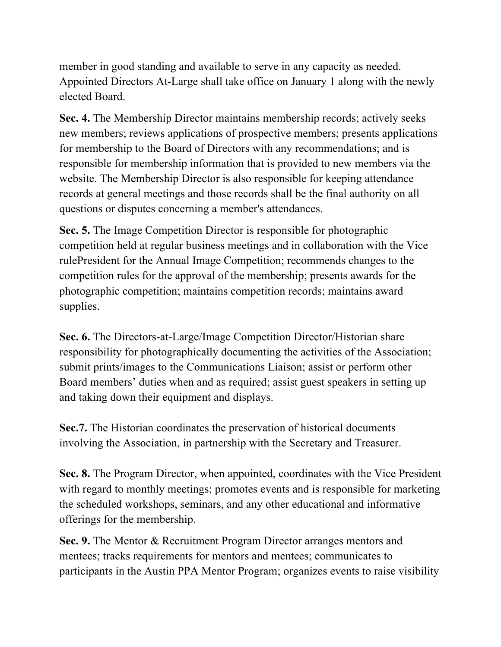member in good standing and available to serve in any capacity as needed. Appointed Directors At-Large shall take office on January 1 along with the newly elected Board.

**Sec. 4.** The Membership Director maintains membership records; actively seeks new members; reviews applications of prospective members; presents applications for membership to the Board of Directors with any recommendations; and is responsible for membership information that is provided to new members via the website. The Membership Director is also responsible for keeping attendance records at general meetings and those records shall be the final authority on all questions or disputes concerning a member's attendances.

**Sec. 5.** The Image Competition Director is responsible for photographic competition held at regular business meetings and in collaboration with the Vice rulePresident for the Annual Image Competition; recommends changes to the competition rules for the approval of the membership; presents awards for the photographic competition; maintains competition records; maintains award supplies.

**Sec. 6.** The Directors-at-Large/Image Competition Director/Historian share responsibility for photographically documenting the activities of the Association; submit prints/images to the Communications Liaison; assist or perform other Board members' duties when and as required; assist guest speakers in setting up and taking down their equipment and displays.

**Sec.7.** The Historian coordinates the preservation of historical documents involving the Association, in partnership with the Secretary and Treasurer.

**Sec. 8.** The Program Director, when appointed, coordinates with the Vice President with regard to monthly meetings; promotes events and is responsible for marketing the scheduled workshops, seminars, and any other educational and informative offerings for the membership.

**Sec. 9.** The Mentor & Recruitment Program Director arranges mentors and mentees; tracks requirements for mentors and mentees; communicates to participants in the Austin PPA Mentor Program; organizes events to raise visibility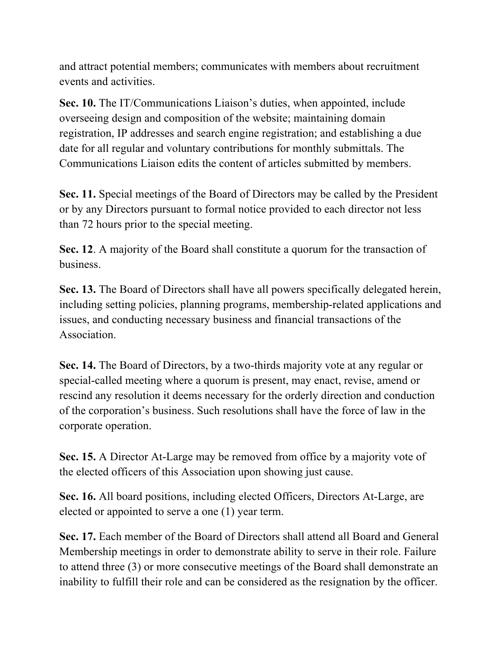and attract potential members; communicates with members about recruitment events and activities.

**Sec. 10.** The IT/Communications Liaison's duties, when appointed, include overseeing design and composition of the website; maintaining domain registration, IP addresses and search engine registration; and establishing a due date for all regular and voluntary contributions for monthly submittals. The Communications Liaison edits the content of articles submitted by members.

**Sec. 11.** Special meetings of the Board of Directors may be called by the President or by any Directors pursuant to formal notice provided to each director not less than 72 hours prior to the special meeting.

**Sec. 12**. A majority of the Board shall constitute a quorum for the transaction of business.

**Sec. 13.** The Board of Directors shall have all powers specifically delegated herein, including setting policies, planning programs, membership-related applications and issues, and conducting necessary business and financial transactions of the Association.

**Sec. 14.** The Board of Directors, by a two-thirds majority vote at any regular or special-called meeting where a quorum is present, may enact, revise, amend or rescind any resolution it deems necessary for the orderly direction and conduction of the corporation's business. Such resolutions shall have the force of law in the corporate operation.

**Sec. 15.** A Director At-Large may be removed from office by a majority vote of the elected officers of this Association upon showing just cause.

**Sec. 16.** All board positions, including elected Officers, Directors At-Large, are elected or appointed to serve a one (1) year term.

**Sec. 17.** Each member of the Board of Directors shall attend all Board and General Membership meetings in order to demonstrate ability to serve in their role. Failure to attend three (3) or more consecutive meetings of the Board shall demonstrate an inability to fulfill their role and can be considered as the resignation by the officer.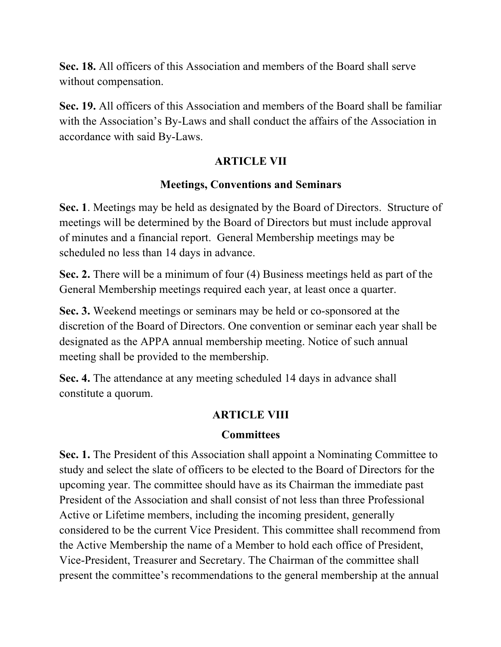**Sec. 18.** All officers of this Association and members of the Board shall serve without compensation.

**Sec. 19.** All officers of this Association and members of the Board shall be familiar with the Association's By-Laws and shall conduct the affairs of the Association in accordance with said By-Laws.

#### **ARTICLE VII**

#### **Meetings, Conventions and Seminars**

**Sec. 1**. Meetings may be held as designated by the Board of Directors. Structure of meetings will be determined by the Board of Directors but must include approval of minutes and a financial report. General Membership meetings may be scheduled no less than 14 days in advance.

**Sec. 2.** There will be a minimum of four (4) Business meetings held as part of the General Membership meetings required each year, at least once a quarter.

**Sec. 3.** Weekend meetings or seminars may be held or co-sponsored at the discretion of the Board of Directors. One convention or seminar each year shall be designated as the APPA annual membership meeting. Notice of such annual meeting shall be provided to the membership.

**Sec. 4.** The attendance at any meeting scheduled 14 days in advance shall constitute a quorum.

#### **ARTICLE VIII**

#### **Committees**

**Sec. 1.** The President of this Association shall appoint a Nominating Committee to study and select the slate of officers to be elected to the Board of Directors for the upcoming year. The committee should have as its Chairman the immediate past President of the Association and shall consist of not less than three Professional Active or Lifetime members, including the incoming president, generally considered to be the current Vice President. This committee shall recommend from the Active Membership the name of a Member to hold each office of President, Vice-President, Treasurer and Secretary. The Chairman of the committee shall present the committee's recommendations to the general membership at the annual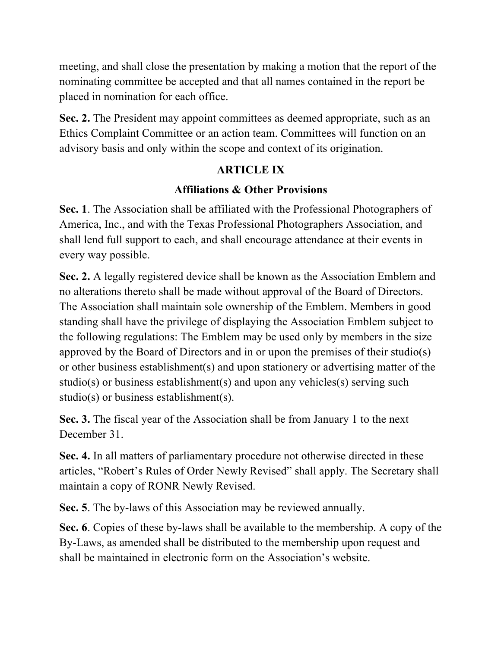meeting, and shall close the presentation by making a motion that the report of the nominating committee be accepted and that all names contained in the report be placed in nomination for each office.

**Sec. 2.** The President may appoint committees as deemed appropriate, such as an Ethics Complaint Committee or an action team. Committees will function on an advisory basis and only within the scope and context of its origination.

#### **ARTICLE IX**

## **Affiliations & Other Provisions**

**Sec. 1**. The Association shall be affiliated with the Professional Photographers of America, Inc., and with the Texas Professional Photographers Association, and shall lend full support to each, and shall encourage attendance at their events in every way possible.

**Sec. 2.** A legally registered device shall be known as the Association Emblem and no alterations thereto shall be made without approval of the Board of Directors. The Association shall maintain sole ownership of the Emblem. Members in good standing shall have the privilege of displaying the Association Emblem subject to the following regulations: The Emblem may be used only by members in the size approved by the Board of Directors and in or upon the premises of their studio(s) or other business establishment(s) and upon stationery or advertising matter of the studio(s) or business establishment(s) and upon any vehicles(s) serving such studio(s) or business establishment(s).

**Sec. 3.** The fiscal year of the Association shall be from January 1 to the next December 31.

**Sec. 4.** In all matters of parliamentary procedure not otherwise directed in these articles, "Robert's Rules of Order Newly Revised" shall apply. The Secretary shall maintain a copy of RONR Newly Revised.

**Sec. 5**. The by-laws of this Association may be reviewed annually.

**Sec. 6**. Copies of these by-laws shall be available to the membership. A copy of the By-Laws, as amended shall be distributed to the membership upon request and shall be maintained in electronic form on the Association's website.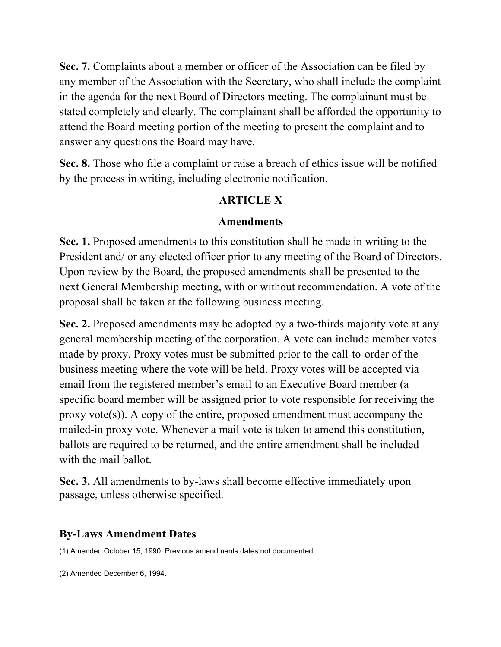**Sec. 7.** Complaints about a member or officer of the Association can be filed by any member of the Association with the Secretary, who shall include the complaint in the agenda for the next Board of Directors meeting. The complainant must be stated completely and clearly. The complainant shall be afforded the opportunity to attend the Board meeting portion of the meeting to present the complaint and to answer any questions the Board may have.

**Sec. 8.** Those who file a complaint or raise a breach of ethics issue will be notified by the process in writing, including electronic notification.

#### **ARTICLE X**

#### **Amendments**

**Sec. 1.** Proposed amendments to this constitution shall be made in writing to the President and/ or any elected officer prior to any meeting of the Board of Directors. Upon review by the Board, the proposed amendments shall be presented to the next General Membership meeting, with or without recommendation. A vote of the proposal shall be taken at the following business meeting.

**Sec. 2.** Proposed amendments may be adopted by a two-thirds majority vote at any general membership meeting of the corporation. A vote can include member votes made by proxy. Proxy votes must be submitted prior to the call-to-order of the business meeting where the vote will be held. Proxy votes will be accepted via email from the registered member's email to an Executive Board member (a specific board member will be assigned prior to vote responsible for receiving the proxy vote $(s)$ ). A copy of the entire, proposed amendment must accompany the mailed-in proxy vote. Whenever a mail vote is taken to amend this constitution, ballots are required to be returned, and the entire amendment shall be included with the mail ballot.

**Sec. 3.** All amendments to by-laws shall become effective immediately upon passage, unless otherwise specified.

#### **By-Laws Amendment Dates**

(1) Amended October 15, 1990. Previous amendments dates not documented.

(2) Amended December 6, 1994.